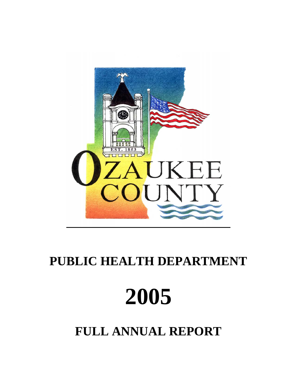

# **PUBLIC HEALTH DEPARTMENT**



**FULL ANNUAL REPORT**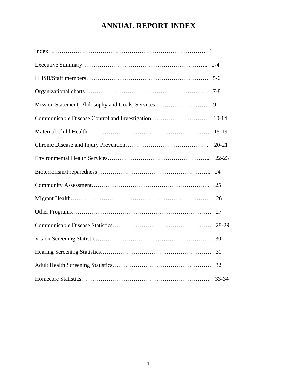# **ANNUAL REPORT INDEX**

|                                                   | $5 - 6$   |
|---------------------------------------------------|-----------|
|                                                   | 7-8       |
| Mission Statement, Philosophy and Goals, Services | 9         |
| Communicable Disease Control and Investigation    | $10 - 14$ |
|                                                   | $15-19$   |
|                                                   | $20 - 21$ |
|                                                   | $22 - 23$ |
|                                                   | 24        |
|                                                   | 25        |
|                                                   | 26        |
|                                                   | 27        |
|                                                   | 28-29     |
|                                                   | 30        |
|                                                   | 31        |
|                                                   | 32        |
|                                                   | 33-34     |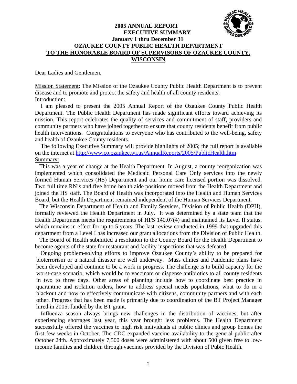# **2005 ANNUAL REPORT EXECUTIVE SUMMARY January 1 thru December 31 OZAUKEE COUNTY PUBLIC HEALTH DEPARTMENT TO THE HONORABLE BOARD OF SUPERVISORS OF OZAUKEE COUNTY, WISCONSIN**

Dear Ladies and Gentlemen,

Mission Statement: The Mission of the Ozaukee County Public Health Department is to prevent disease and to promote and protect the safety and health of all county residents. Introduction:

 I am pleased to present the 2005 Annual Report of the Ozaukee County Public Health Department. The Public Health Department has made significant efforts toward achieving its mission. This report celebrates the quality of services and commitment of staff, providers and community partners who have joined together to ensure that county residents benefit from public health interventions. Congratulations to everyone who has contributed to the well-being, safety and health of Ozaukee County residents.

 The following Executive Summary will provide highlights of 2005; the full report is available on the internet at http://www.co.ozaukee.wi.us/AnnualReports/2005/PublicHealth.htm Summary:

 This was a year of change at the Health Department. In August, a county reorganization was implemented which consolidated the Medicaid Personal Care Only services into the newly formed Human Services (HS) Department and our home care licensed portion was dissolved. Two full time RN's and five home health aide positions moved from the Health Department and joined the HS staff. The Board of Health was incorporated into the Health and Human Services Board, but the Health Department remained independent of the Human Services Department.

 The Wisconsin Department of Health and Family Services, Division of Public Health (DPH), formally reviewed the Health Department in July. It was determined by a state team that the Health Department meets the requirements of HFS 140.07(4) and maintained its Level II status, which remains in effect for up to 5 years. The last review conducted in 1999 that upgraded this department from a Level I has increased our grant allocations from the Division of Public Health.

 The Board of Health submitted a resolution to the County Board for the Health Department to become agents of the state for restaurant and facility inspections that was defeated.

 Ongoing problem-solving efforts to improve Ozaukee County's ability to be prepared for bioterrorism or a natural disaster are well underway. Mass clinics and Pandemic plans have been developed and continue to be a work in progress. The challenge is to build capacity for the worst-case scenario, which would be to vaccinate or dispense antibiotics to all county residents in two to three days. Other areas of planning include how to coordinate best practice in quarantine and isolation orders, how to address special needs populations, what to do in a blackout and how to effectively communicate with citizens, community partners and with each other. Progress that has been made is primarily due to coordination of the BT Project Manager hired in 2005; funded by the BT grant.

 Influenza season always brings new challenges in the distribution of vaccines, but after experiencing shortages last year, this year brought less problems. The Health Department successfully offered the vaccines to high risk individuals at public clinics and group homes the first few weeks in October. The CDC expanded vaccine availability to the general public after October 24th. Approximately 7,500 doses were administered with about 500 given free to lowincome families and children through vaccines provided by the Division of Pubic Health.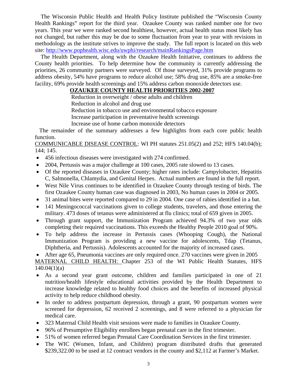The Wisconsin Public Health and Health Policy Institute published the "Wisconsin County Health Rankings" report for the third year. Ozaukee County was ranked number one for two years. This year we were ranked second healthiest, however, actual health status most likely has not changed, but rather this may be due to some fluctuation from year to year with revisions in methodology as the institute strives to improve the study. The full report is located on this web site: http://www.pophealth.wisc.edu/uwphi/research/mainRankingsPage.htm

 The Health Department, along with the Ozaukee Health Initiative, continues to address the County health priorities. To help determine how the community is currently addressing the priorities, 26 community partners were surveyed. Of those surveyed, 31% provide programs to address obesity, 54% have programs to reduce alcohol use; 58% drug use, 85% are a smoke-free facility, 69% provide health screenings and 15% address carbon monoxide detectors use.

# **OZAUKEE COUNTY HEALTH PRIORITIES 2002-2007**

Reduction in overweight / obese adults and children

Reduction in alcohol and drug use

Reduction in tobacco use and environmental tobacco exposure

Increase participation in preventative health screenings

Increase use of home carbon monoxide detectors

 The remainder of the summary addresses a few highlights from each core public health function.

COMMUNICABLE DISEASE CONTROL: WI PH statutes 251.05(2) and 252; HFS 140.04(b); 144; 145.

- 456 infectious diseases were investigated with 274 confirmed.
- 2004, Pertussis was a major challenge at 100 cases, 2005 rate slowed to 13 cases.
- Of the reported diseases in Ozaukee County; higher rates include: Campylobacter, Hepatitis C, Salmonella, Chlamydia, and Genital Herpes. Actual numbers are found in the full report.
- West Nile Virus continues to be identified in Ozaukee County through testing of birds. The first Ozaukee County human case was diagnosed in 2003, No human cases in 2004 or 2005.
- 31 animal bites were reported compared to 29 in 2004. One case of rabies identified in a bat.
- 141 Meningococcal vaccinations given to college students, travelers, and those entering the military. 473 doses of tetanus were administered at flu clinics; total of 659 given in 2005.
- Through grant support, the Immunization Program achieved 94.3% of two year olds completing their required vaccinations. This exceeds the Healthy People 2010 goal of 90%.
- To help address the increase in Pertussis cases (Whooping Cough), the National Immunization Program is providing a new vaccine for adolescents, Tdap (Tetanus, Diphtheria, and Pertussis). Adolescents accounted for the majority of increased cases.

• After age 65, Pneumonia vaccines are only required once. 270 vaccines were given in 2005 MATERNAL CHILD HEALTH: Chapter 253 of the WI Public Health Statutes, HFS  $140.04(1)(a)$ 

- As a second year grant outcome, children and families participated in one of 21 nutrition/health lifestyle educational activities provided by the Health Department to increase knowledge related to healthy food choices and the benefits of increased physical activity to help reduce childhood obesity.
- In order to address postpartum depression, through a grant, 90 postpartum women were screened for depression, 62 received 2 screenings, and 8 were referred to a physician for medical care.
- 323 Maternal Child Health visit sessions were made to families in Ozaukee County.
- 96% of Presumptive Eligibility enrollees began prenatal care in the first trimester.
- 51% of women referred began Prenatal Care Coordination Services in the first trimester.
- The WIC (Women, Infant, and Children) program distributed drafts that generated \$239,322.00 to be used at 12 contract vendors in the county and \$2,112 at Farmer's Market.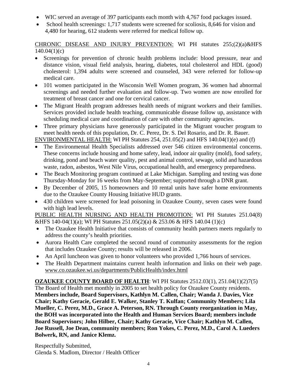- WIC served an average of 397 participants each month with 4,767 food packages issued.
- School health screenings: 1,717 students were screened for scoliosis, 8,646 for vision and 4,480 for hearing, 612 students were referred for medical follow up.

CHRONIC DISEASE AND INJURY PREVENTION: WI PH statutes 255;(2)(a)&HFS  $140.04(1)(c)$ 

- Screenings for prevention of chronic health problems include: blood pressure, near and distance vision, visual field analysis, hearing, diabetes, total cholesterol and HDL (good) cholesterol: 1,394 adults were screened and counseled, 343 were referred for follow-up medical care.
- 101 women participated in the Wisconsin Well Women program, 36 women had abnormal screenings and needed further evaluation and follow-up. Two women are now enrolled for treatment of breast cancer and one for cervical cancer.
- The Migrant Health program addresses health needs of migrant workers and their families. Services provided include health teaching, communicable disease follow up, assistance with scheduling medical care and coordination of care with other community agencies.
- Three primary physicians have generously participated in the Migrant voucher program to meet health needs of this population, Dr. C. Perez, Dr. S. Del Rosario, and Dr. R. Bauer.

ENVIRONMENTAL HEALTH: WI PH Statutes 254, 251.05(2) and HFS 140.04(1)(e) and (f)

- The Environmental Health Specialists addressed over 546 citizen environmental concerns. These concerns include housing and home safety, lead, indoor air quality (mold), food safety, drinking, pond and beach water quality, pest and animal control, sewage, solid and hazardous waste, radon, asbestos, West Nile Virus, occupational health, and emergency preparedness.
- The Beach Monitoring program continued at Lake Michigan. Sampling and testing was done Thursday-Monday for 16 weeks from May-September; supported through a DNR grant.
- By December of 2005, 15 homeowners and 10 rental units have safer home environments due to the Ozaukee County Housing Initiative HUD grants.
- 430 children were screened for lead poisoning in Ozaukee County, seven cases were found with high lead levels.

PUBLIC HEALTH NURSING AND HEALTH PROMOTION: WI PH Statutes 251.04(8) &HFS 140-04(1)(a); WI PH Statutes 251.05(2)(a) & 253.06 & HFS 140.04 (1)(c)

- The Ozaukee Health Initiative that consists of community health partners meets regularly to address the county's health priorities.
- Aurora Health Care completed the second round of community assessments for the region that includes Ozaukee County; results will be released in 2006.
- An April luncheon was given to honor volunteers who provided 1,766 hours of services.
- The Health Department maintains current health information and links on their web page. www.co.ozaukee.wi.us/departments/PublicHealth/index.html

**OZAUKEE COUNTY BOARD OF HEALTH**: WI PH Statutes 2512.03(1), 251.04(1)(2)7(5) The Board of Health met monthly in 2005 to set health policy for Ozaukee County residents. **Members include, Board Supervisors, Kathlyn M. Callen, Chair; Wanda J. Davies, Vice Chair; Kathy Geracie, Gerald E. Walker, Stanley T. Kulfan; Community Members; Lila Mueller, C. Perez, M.D., Grace A. Peterson, RN. Through County reorganization in May, the BOH was incorporated into the Health and Human Services Board; members include Board Supervisors; John Hilber, Chair; Kathy Geracie, Vice Chair; Kathlyn M. Callen, Joe Russell, Joe Dean, community members; Ron Yokes, C. Perez, M.D., Carol A. Lueders Bolwerk, RN, and Janice Klemz.** 

Respectfully Submitted, Glenda S. Madlom, Director / Health Officer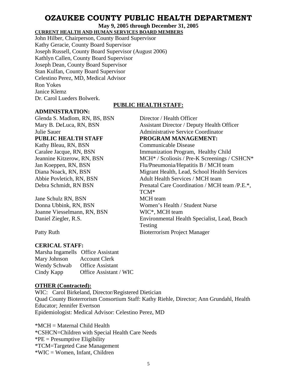# **OZAUKEE COUNTY PUBLIC HEALTH DEPARTMENT**

**May 9, 2005 through December 31, 2005** 

**CURRENT HEALTH AND HUMAN SERVICES BOARD MEMBERS**

John Hilber, Chairperson, County Board Supervisor Kathy Geracie, County Board Supervisor Joseph Russell, County Board Supervisor (August 2006) Kathlyn Callen, County Board Supervisor Joseph Dean, County Board Supervisor Stan Kulfan, County Board Supervisor Celestino Perez, MD, Medical Advisor Ron Yokes Janice Klemz Dr. Carol Lueders Bolwerk.

# **PUBLIC HEALTH STAFF:**

TCM\*

Testing

# **ADMINISTRATION:**

Glenda S. Madlom, RN, BS, BSN Director / Health Officer Mary B. DeLuca, RN, BSN Assistant Director / Deputy Health Officer Julie Sauer Administrative Service Coordinator PUBLIC HEALTH STAFF PROGRAM MANAGEMENT: Kathy Bleau, RN, BSN Communicable Disease Caralee Jacque, RN, BSN Immunization Program, Healthy Child

Jeannine Kitzerow, RN, BSN MCH<sup>\*</sup> / Scoliosis / Pre-K Screenings / CSHCN<sup>\*</sup> Jan Koeppen, RN, BSN Flu/Pneumonia/Hepatitis B / MCH team Diana Noack, RN, BSN Migrant Health, Lead, School Health Services Abbie Povletich, RN, BSN Adult Health Services / MCH team Debra Schmidt, RN BSN Prenatal Care Coordination / MCH team /P.E.\*,

Jane Schulz RN, BSN MCH team Donna Ubbink, RN, BSN Women's Health / Student Nurse Joanne Viesselmann, RN, BSN WIC<sup>\*</sup>, MCH team Daniel Ziegler, R.S. Environmental Health Specialist, Lead, Beach

Patty Ruth Bioterrorism Project Manager

# **CERICAL STAFF:**

Marsha Ingamells Office Assistant Mary Johnson Account Clerk Wendy Schwab Office Assistant Cindy Kapp Office Assistant / WIC

# **OTHER (Contracted):**

WIC: Carol Birkeland, Director/Registered Dietician Quad County Bioterrorism Consortium Staff: Kathy Riehle, Director; Ann Grundahl, Health Educator; Jennifer Evertson Epidemiologist: Medical Advisor: Celestino Perez, MD

\*MCH = Maternal Child Health \*CSHCN=Children with Special Health Care Needs  $P^*PE =$  Presumptive Eligibility \*TCM=Targeted Case Management \*WIC = Women, Infant, Children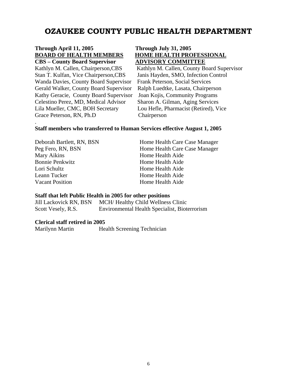# **OZAUKEE COUNTY PUBLIC HEALTH DEPARTMENT**

# **Through April 11, 2005 Through July 31, 2005 BOARD OF HEALTH MEMBERS****HOME HEALTH PROFESSIONAL**

Stan T. Kulfan, Vice Chairperson,CBS Janis Hayden, SMO, Infection Control Wanda Davies, County Board Supervisor Frank Peterson, Social Services Gerald Walker, County Board Supervisor Ralph Luedtke, Lasata, Chairperson Kathy Geracie, County Board Supervisor Joan Kojis, Community Programs Celestino Perez, MD, Medical Advisor Sharon A. Gilman, Aging Services Lila Mueller, CMC, BOH Secretary Lou Hefle, Pharmacist (Retired), Vice Grace Peterson, RN, Ph.D Chairperson

.

# **CBS – County Board Supervisor ADVISORY COMMITTEE**

Kathlyn M. Callen, Chairperson,CBS Kathlyn M. Callen, County Board Supervisor

#### **Staff members who transferred to Human Services effective August 1, 2005**

| Hor |
|-----|
| Hor |
| Hor |
| Hor |
| Hor |
| Hor |
| Hor |
|     |

ne Health Care Case Manager ne Health Care Case Manager me Health Aide ne Health Aide ne Health Aide ne Health Aide ne Health Aide

### **Staff that left Public Health in 2005 for other positions**

Jill Lackovick RN, BSN MCH/ Healthy Child Wellness Clinic Scott Vesely, R.S. Environmental Health Specialist, Bioterrorism

#### **Clerical staff retired in 2005**

Marilynn Martin Health Screening Technician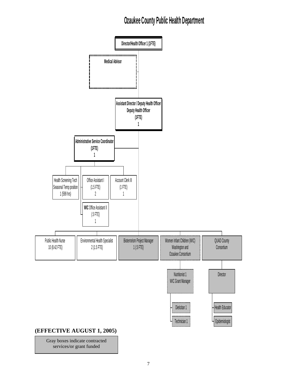# **Ozaukee County Public Health Department**



Gray boxes indicate contracted services/or grant funded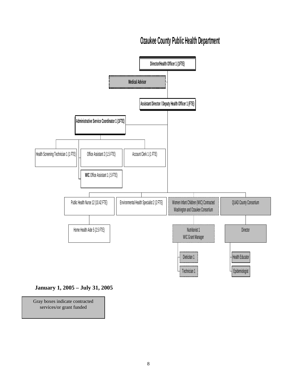# **Ozaukee County Public Health Department**



# **January 1, 2005 – July 31, 2005**

Gray boxes indicate contracted services/or grant funded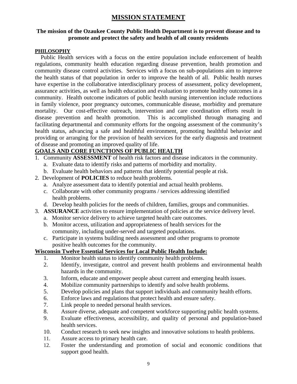# **MISSION STATEMENT**

# **The mission of the Ozaukee County Public Health Department is to prevent disease and to promote and protect the safety and health of all county residents**

# **PHILOSOPHY**

 Public Health services with a focus on the entire population include enforcement of health regulations, community health education regarding disease prevention, health promotion and community disease control activities. Services with a focus on sub-populations aim to improve the health status of that population in order to improve the health of all. Public health nurses have expertise in the collaborative interdisciplinary process of assessment, policy development, assurance activities, as well as health education and evaluation to promote healthy outcomes in a community. Health outcome indicators of public health nursing intervention include reductions in family violence, poor pregnancy outcomes, communicable disease, morbidity and premature mortality. Our cost-effective outreach, intervention and care coordination efforts result in disease prevention and health promotion. This is accomplished through managing and facilitating departmental and community efforts for the ongoing assessment of the community's health status, advancing a safe and healthful environment, promoting healthful behavior and providing or arranging for the provision of health services for the early diagnosis and treatment of disease and promoting an improved quality of life.

# **GOALS AND CORE FUNCTIONS OF PUBLIC HEALTH**

- 1. Community **ASSESSMENT** of health risk factors and disease indicators in the community.
	- a. Evaluate data to identify risks and patterns of morbidity and mortality.
	- b. Evaluate health behaviors and patterns that identify potential people at risk.
- 2. Development of **POLICIES** to reduce health problems.
	- a. Analyze assessment data to identify potential and actual health problems.
	- c. Collaborate with other community programs / services addressing identified health problems.
	- d. Develop health policies for the needs of children, families, groups and communities.
- 3. **ASSURANCE** activities to ensure implementation of policies at the service delivery level.
	- a. Monitor service delivery to achieve targeted health care outcomes.
	- b. Monitor access, utilization and appropriateness of health services for the community, including under-served and targeted populations.
	- c. Participate in systems building needs assessment and other programs to promote positive health outcomes for the community.

# **Wisconsin Twelve Essential Services for Local Public Health Include:**

- 1. Monitor health status to identify community health problems.
- 2. Identify, investigate, control and prevent health problems and environmental health hazards in the community.
- 3. Inform, educate and empower people about current and emerging health issues.
- 4. Mobilize community partnerships to identify and solve health problems.
- 5. Develop policies and plans that support individuals and community health efforts.
- 6. Enforce laws and regulations that protect health and ensure safety.
- 7. Link people to needed personal health services.
- 8. Assure diverse, adequate and competent workforce supporting public health systems.
- 9. Evaluate effectiveness, accessibility, and quality of personal and population-based health services.
- 10. Conduct research to seek new insights and innovative solutions to health problems.
- 11. Assure access to primary health care.
- 12. Foster the understanding and promotion of social and economic conditions that support good health.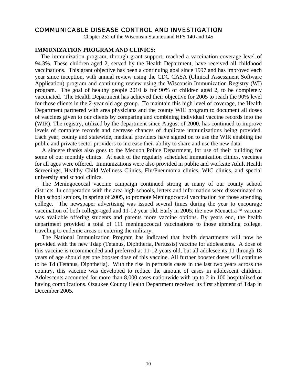# COMMUNICABLE DISEASE CONTROL AND INVESTIGATION

Chapter 252 of the Wisconsin Statutes and HFS 140 and 145

#### **IMMUNIZATION PROGRAM AND CLINICS:**

 The immunization program, through grant support, reached a vaccination coverage level of 94.3%. These children aged 2, served by the Health Department, have received all childhood vaccinations. This grant objective has been a continuing goal since 1997 and has improved each year since inception, with annual review using the CDC CASA (Clinical Assessment Software Application) program and continuing review using the Wisconsin Immunization Registry (WI) program. The goal of healthy people 2010 is for 90% of children aged 2, to be completely vaccinated. The Health Department has achieved their objective for 2005 to reach the 90% level for those clients in the 2-year old age group. To maintain this high level of coverage, the Health Department partnered with area physicians and the county WIC program to document all doses of vaccines given to our clients by comparing and combining individual vaccine records into the (WIR). The registry, utilized by the department since August of 2000, has continued to improve levels of complete records and decrease chances of duplicate immunizations being provided. Each year, county and statewide, medical providers have signed on to use the WIR enabling the public and private sector providers to increase their ability to share and use the new data.

A sincere thanks also goes to the Mequon Police Department, for use of their building for some of our monthly clinics. At each of the regularly scheduled immunization clinics, vaccines for all ages were offered. Immunizations were also provided in public and worksite Adult Health Screenings, Healthy Child Wellness Clinics, Flu/Pneumonia clinics, WIC clinics, and special university and school clinics.

The Meningococcal vaccine campaign continued strong at many of our county school districts. In cooperation with the area high schools, letters and information were disseminated to high school seniors, in spring of 2005, to promote Meningococcal vaccination for those attending college. The newspaper advertising was issued several times during the year to encourage vaccination of both college-aged and 11-12 year old. Early in 2005, the new Menactra™ vaccine was available offering students and parents more vaccine options. By years end, the health department provided a total of 111 meningococcal vaccinations to those attending college, traveling to endemic areas or entering the military.

The National Immunization Program has indicated that health departments will now be provided with the new Tdap (Tetanus, Diphtheria, Pertussis) vaccine for adolescents. A dose of this vaccine is recommended and preferred at 11-12 years old, but all adolescents 11 through 18 years of age should get one booster dose of this vaccine. All further booster doses will continue to be Td (Tetanus, Diphtheria). With the rise in pertussis cases in the last two years across the country, this vaccine was developed to reduce the amount of cases in adolescent children. Adolescents accounted for more than 8,000 cases nationwide with up to 2 in 100 hospitalized or having complications. Ozaukee County Health Department received its first shipment of Tdap in December 2005.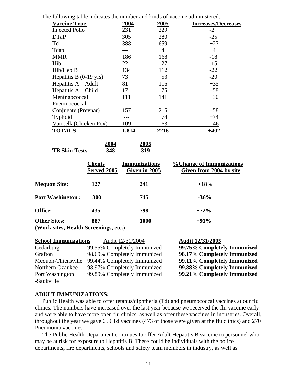| The following table indicates the number and kinds of vaccine administered: |
|-----------------------------------------------------------------------------|
|-----------------------------------------------------------------------------|

| <b>Vaccine Type</b>      | 2004  | 2005           | <b>Increases/Decreases</b> |
|--------------------------|-------|----------------|----------------------------|
| <b>Injected Polio</b>    | 231   | 229            | $-2$                       |
| <b>DTaP</b>              | 305   | 280            | $-25$                      |
| Td                       | 388   | 659            | $+271$                     |
| Tdap                     |       | $\overline{4}$ | $+4$                       |
| <b>MMR</b>               | 186   | 168            | $-18$                      |
| Hib                      | 22    | 27             | $+5$                       |
| Hib/Hep B                | 134   | 112            | $-22$                      |
| Hepatitis B $(0-19$ yrs) | 73    | 53             | $-20$                      |
| Hepatitis $A - A$ dult   | 81    | 116            | $+35$                      |
| Hepatitis $A - Child$    | 17    | 75             | $+58$                      |
| Meningococcal            | 111   | 141            | $+30$                      |
| Pneumococcal             |       |                |                            |
| Conjugate (Prevnar)      | 157   | 215            | $+58$                      |
| Typhoid                  |       | 74             | $+74$                      |
| Varicella(Chicken Pox)   | 109   | 63             | $-46$                      |
| <b>TOTALS</b>            | 1,814 | 2216           | $+402$                     |

|                      | 2004 | 2005 |
|----------------------|------|------|
| <b>TB Skin Tests</b> | 348  | 319  |

|                                                              | <b>Clients</b><br>Served 2005 | <b>Immunizations</b><br>Given in 2005 | <b>% Change of Immunizations</b><br>Given from 2004 by site |
|--------------------------------------------------------------|-------------------------------|---------------------------------------|-------------------------------------------------------------|
| <b>Mequon Site:</b>                                          | 127                           | 241                                   | $+18%$                                                      |
| <b>Port Washington:</b>                                      | <b>300</b>                    | 745                                   | $-36%$                                                      |
| <b>Office:</b>                                               | 435                           | 798                                   | $+72%$                                                      |
| <b>Other Sites:</b><br>(Work sites, Health Screenings, etc.) | 887                           | 1000                                  | $+91%$                                                      |

| <b>School Immunizations</b> | Audit 12/31/2004            | Audit 12/31/2005            |
|-----------------------------|-----------------------------|-----------------------------|
| Cedarburg                   | 99.55% Completely Immunized | 99.75% Completely Immunized |
| Grafton                     | 98.69% Completely Immunized | 98.17% Completely Immunized |
| Mequon-Thiensville          | 99.44% Completely Immunized | 99.11% Completely Immunized |
| Northern Ozaukee            | 98.97% Completely Immunized | 99.88% Completely Immunized |
| Port Washington             | 99.89% Completely Immunized | 99.21% Completely Immunized |
| -Saukville                  |                             |                             |

#### **ADULT IMMUNIZATIONS:**

 Public Health was able to offer tetanus/diphtheria (Td) and pneumococcal vaccines at our flu clinics. The numbers have increased over the last year because we received the flu vaccine early and were able to have more open flu clinics, as well as offer these vaccines in industries. Overall, throughout the year we gave 659 Td vaccines (473 of those were given at the flu clinics) and 270 Pneumonia vaccines.

 The Public Health Department continues to offer Adult Hepatitis B vaccine to personnel who may be at risk for exposure to Hepatitis B. These could be individuals with the police departments, fire departments, schools and safety team members in industry, as well as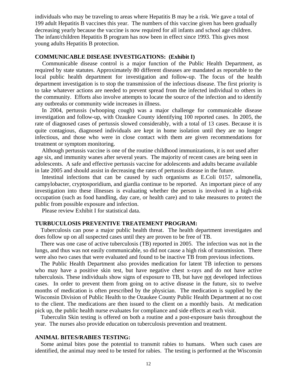individuals who may be traveling to areas where Hepatitis B may be a risk. We gave a total of 199 adult Hepatitis B vaccines this year. The numbers of this vaccine given has been gradually decreasing yearly because the vaccine is now required for all infants and school age children. The infant/children Hepatitis B program has now been in effect since 1993. This gives most young adults Hepatitis B protection.

### **COMMUNICABLE DISEASE INVESTIGATIONS: (Exhibit I)**

 Communicable disease control is a major function of the Public Health Department, as required by state statutes. Approximately 80 different diseases are mandated as reportable to the local public health department for investigation and follow-up. The focus of the health department investigation is to stop the transmission of the infectious disease. The first priority is to take whatever actions are needed to prevent spread from the infected individual to others in the community. Efforts also involve attempts to locate the source of the infection and to identify any outbreaks or community wide increases in illness.

In 2004, pertussis (whooping cough) was a major challenge for communicable disease investigation and follow-up, with Ozaukee County identifying 100 reported cases. In 2005, the rate of diagnosed cases of pertussis slowed considerably, with a total of 13 cases. Because it is quite contagious, diagnosed individuals are kept in home isolation until they are no longer infectious, and those who were in close contact with them are given recommendations for treatment or symptom monitoring.

Although pertussis vaccine is one of the routine childhood immunizations, it is not used after age six, and immunity wanes after several years. The majority of recent cases are being seen in adolescents. A safe and effective pertussis vaccine for adolescents and adults became available in late 2005 and should assist in decreasing the rates of pertussis disease in the future.

Intestinal infections that can be caused by such organisms as E.Coli 0157, salmonella, campylobacter, cryptosporidium, and giardia continue to be reported. An important piece of any investigation into these illnesses is evaluating whether the person is involved in a high-risk occupation (such as food handling, day care, or health care) and to take measures to protect the public from possible exposure and infection.

Please review Exhibit I for statistical data.

#### **TURBUCULOSIS PREVENTIVE TREATEMENT PROGRAM:**

 Tuberculosis can pose a major public health threat. The health department investigates and does follow up on all suspected cases until they are proven to be free of TB.

 There was one case of active tuberculosis (TB) reported in 2005. The infection was not in the lungs, and thus was not easily communicable, so did not cause a high risk of transmission. There were also two cases that were evaluated and found to be inactive TB from previous infections.

 The Public Health Department also provides medication for latent TB infection to persons who may have a positive skin test, but have negative chest x-rays and do not have active tuberculosis. These individuals show signs of exposure to TB, but have not developed infectious cases. In order to prevent them from going on to active disease in the future, six to twelve months of medication is often prescribed by the physician. The medication is supplied by the Wisconsin Division of Public Health to the Ozaukee County Public Health Department at no cost to the client. The medications are then issued to the client on a monthly basis. At medication pick up, the public health nurse evaluates for compliance and side effects at each visit.

 Tuberculin Skin testing is offered on both a routine and a post-exposure basis throughout the year. The nurses also provide education on tuberculosis prevention and treatment.

#### **ANIMAL BITES/RABIES TESTING:**

 Some animal bites pose the potential to transmit rabies to humans. When such cases are identified, the animal may need to be tested for rabies. The testing is performed at the Wisconsin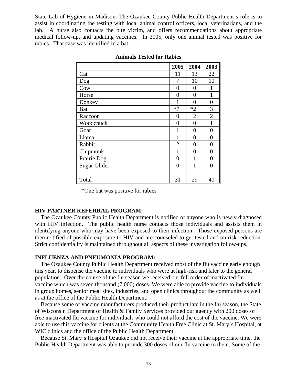State Lab of Hygiene in Madison. The Ozaukee County Public Health Department's role is to assist in coordinating the testing with local animal control officers, local veterinarians, and the lab. A nurse also contacts the bite victim, and offers recommendations about appropriate medical follow-up, and updating vaccines. In 2005, only one animal tested was positive for rabies. That case was identified in a bat.

|                     | 2005           | 2004           | 2003           |
|---------------------|----------------|----------------|----------------|
| Cat                 | 11             | 13             | 22             |
| Dog                 | 7              | 10             | 10             |
| Cow                 | 0              | 0              | 1              |
| Horse               | 0              | 0              | 1              |
| Donkey              |                | 0              | $\overline{0}$ |
| <b>Bat</b>          | $*7$           | $*2$           | 3              |
| Raccoon             | 0              | $\overline{2}$ | $\overline{2}$ |
| Woodchuck           | 0              | $\theta$       | 1              |
| Goat                |                | $\overline{0}$ | 0              |
| Llama               | 1              | $\overline{0}$ | 0              |
| Rabbit              | $\overline{2}$ | $\overline{0}$ | $\overline{0}$ |
| Chipmunk            | 1              | $\theta$       | $\overline{0}$ |
| Prairie Dog         | 0              | 1              | $\theta$       |
| <b>Sugar Glider</b> | 0              | 1              | 0              |
|                     |                |                |                |
| Total               | 31             | 29             | 40             |

#### **Animals Tested for Rabies**

\*One bat was positive for rabies

# **HIV PARTNER REFERRAL PROGRAM:**

 The Ozaukee County Public Health Department is notified of anyone who is newly diagnosed with HIV infection. The public health nurse contacts those individuals and assists them in identifying anyone who may have been exposed to their infection. Those exposed persons are then notified of possible exposure to HIV and are counseled to get tested and on risk reduction. Strict confidentiality is maintained throughout all aspects of these investigation follow-ups.

#### **INFLUENZA AND PNEUMONIA PROGRAM:**

 The Ozaukee County Public Health Department received most of the flu vaccine early enough this year, to dispense the vaccine to individuals who were at high-risk and later to the general population. Over the course of the flu season we received our full order of inactivated flu vaccine which was seven thousand (7,000) doses. We were able to provide vaccine to individuals in group homes, senior meal sites, industries, and open clinics throughout the community as well as at the office of the Public Health Department.

 Because some of vaccine manufacturers produced their product late in the flu season, the State of Wisconsin Department of Health & Family Services provided our agency with 200 doses of free inactivated flu vaccine for individuals who could not afford the cost of the vaccine. We were able to use this vaccine for clients at the Community Health Free Clinic at St. Mary's Hospital, at WIC clinics and the office of the Public Health Department.

 Because St. Mary's Hospital Ozaukee did not receive their vaccine at the appropriate time, the Public Health Department was able to provide 300 doses of our flu vaccine to them. Some of the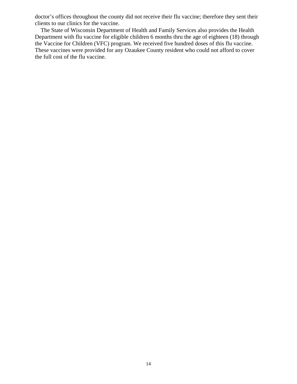doctor's offices throughout the county did not receive their flu vaccine; therefore they sent their clients to our clinics for the vaccine.

 The State of Wisconsin Department of Health and Family Services also provides the Health Department with flu vaccine for eligible children 6 months thru the age of eighteen (18) through the Vaccine for Children (VFC) program. We received five hundred doses of this flu vaccine. These vaccines were provided for any Ozaukee County resident who could not afford to cover the full cost of the flu vaccine.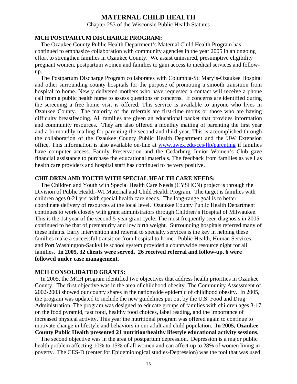# **MATERNAL CHILD HEALTH**

Chapter 253 of the Wisconsin Public Health Statutes

### **MCH POSTPARTUM DISCHARGE PROGRAM:**

 The Ozaukee County Public Health Department's Maternal Child Health Program has continued to emphasize collaboration with community agencies in the year 2005 in an ongoing effort to strengthen families in Ozaukee County. We assist uninsured, presumptive eligibility pregnant women, postpartum women and families to gain access to medical services and followup.

 The Postpartum Discharge Program collaborates with Columbia-St. Mary's-Ozaukee Hospital and other surrounding county hospitals for the purpose of promoting a smooth transition from hospital to home. Newly delivered mothers who have requested a contact will receive a phone call from a public health nurse to assess questions or concerns. If concerns are identified during the screening a free home visit is offered. This service is available to anyone who lives in Ozaukee County. The majority of the referrals are first-time moms or those who are having difficulty breastfeeding. All families are given an educational packet that provides information and community resources. They are also offered a monthly mailing of parenting the first year and a bi-monthly mailing for parenting the second and third year. This is accomplished through the collaboration of the Ozaukee County Public Health Department and the UW Extension office. This information is also available on-line at www.uwex.edu/ces/flp/parenting if families have computer access. Family Preservation and the Cedarburg Junior Women's Club gave financial assistance to purchase the educational materials. The feedback from families as well as health care providers and hospital staff has continued to be very positive.

#### **CHILDREN AND YOUTH WITH SPECIAL HEALTH CARE NEEDS:**

 The Children and Youth with Special Health Care Needs (CYSHCN) project is through the Division of Public Health–WI Maternal and Child Health Program. The target is families with children ages 0-21 yrs. with special health care needs. The long-range goal is to better coordinate delivery of resources at the local level. Ozaukee County Public Health Department continues to work closely with grant administrators through Children's Hospital of Milwaukee. This is the 1st year of the second 5-year grant cycle. The most frequently seen diagnosis in 2005 continued to be that of prematurity and low birth weight. Surrounding hospitals referred many of these infants. Early intervention and referral to specialty services is the key in helping these families make a successful transition from hospital to home. Public Health, Human Services, and Port Washington-Saukville school system provided a countywide resource night for all families. **In 2005, 32 clients were served. 26 received referral and follow-up. 6 were followed under case management.** 

## **MCH CONSOLIDATED GRANTS:**

 In 2005, the MCH program identified two objectives that address health priorities in Ozaukee County. The first objective was in the area of childhood obesity. The Community Assessment of 2002-2003 showed our county shares in the nationwide epidemic of childhood obesity. In 2005, the program was updated to include the new guidelines put out by the U.S. Food and Drug Administration. The program was designed to educate groups of families with children ages 3-17 on the food pyramid, fast food, healthy food choices, label reading, and the importance of increased physical activity. This year the nutritional program was offered again to continue to motivate change in lifestyle and behaviors in our adult and child population. **In 2005, Ozaukee County Public Health presented 21 nutrition/healthy lifestyle educational activity sessions.** 

 The second objective was in the area of postpartum depression. Depression is a major public health problem affecting 10% to 15% of all women and can affect up to 28% of women living in poverty. The CES-D (center for Epidemiological studies-Depression) was the tool that was used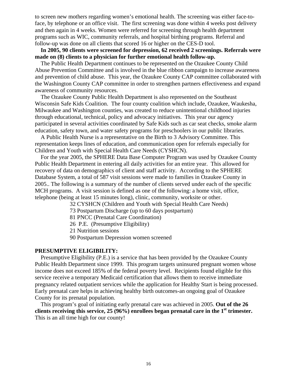to screen new mothers regarding women's emotional health. The screening was either face-toface, by telephone or an office visit. The first screening was done within 4 weeks post delivery and then again in 4 weeks. Women were referred for screening through health department programs such as WIC, community referrals, and hospital birthing programs. Referral and follow-up was done on all clients that scored 16 or higher on the CES-D tool.

 **In 2005, 90 clients were screened for depression, 62 received 2 screenings. Referrals were made on (8) clients to a physician for further emotional health follow-up.** 

 The Public Health Department continues to be represented on the Ozaukee County Child Abuse Prevention Committee and is involved in the blue ribbon campaign to increase awareness and prevention of child abuse. This year, the Ozaukee County CAP committee collaborated with the Washington County CAP committee in order to strengthen partners effectiveness and expand awareness of community resources.

 The Ozaukee County Public Health Department is also represented on the Southeast Wisconsin Safe Kids Coalition. The four county coalition which include, Ozaukee, Waukesha, Milwaukee and Washington counties, was created to reduce unintentional childhood injuries through educational, technical, policy and advocacy initiatives. This year our agency participated in several activities coordinated by Safe Kids such as car seat checks, smoke alarm education, safety town, and water safety programs for preschoolers in our public libraries.

 A Public Health Nurse is a representative on the Birth to 3 Advisory Committee. This representation keeps lines of education, and communication open for referrals especially for Children and Youth with Special Health Care Needs (CYSHCN).

 For the year 2005, the SPHERE Data Base Computer Program was used by Ozaukee County Public Health Department in entering all daily activities for an entire year. This allowed for recovery of data on demographics of client and staff activity. According to the SPHERE Database System, a total of 587 visit sessions were made to families in Ozaukee County in 2005.. The following is a summary of the number of clients served under each of the specific MCH programs. A visit session is defined as one of the following: a home visit, office, telephone (being at least 15 minutes long), clinic, community, worksite or other.

32 CYSHCN (Children and Youth with Special Health Care Needs)

73 Postpartum Discharge (up to 60 days postpartum)

81 PNCC (Prenatal Care Coordination)

26 P.E. (Presumptive Eligibility)

21 Nutrition sessions

90 Postpartum Depression women screened

# **PRESUMPTIVE ELIGIBILITY:**

 Presumptive Eligibility (P.E.) is a service that has been provided by the Ozaukee County Public Health Department since 1999. This program targets uninsured pregnant women whose income does not exceed 185% of the federal poverty level. Recipients found eligible for this service receive a temporary Medicaid certification that allows them to receive immediate pregnancy related outpatient services while the application for Healthy Start is being processed. Early prenatal care helps in achieving healthy birth outcomes-an ongoing goal of Ozaukee County for its prenatal population.

 This program's goal of initiating early prenatal care was achieved in 2005. **Out of the 26 clients receiving this service, 25 (96%) enrollees began prenatal care in the 1st trimester.** This is an all time high for our county!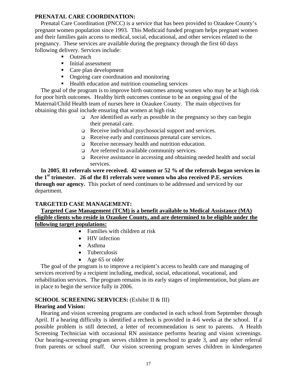# **PRENATAL CARE COORDINATION:**

 Prenatal Care Coordination (PNCC) is a service that has been provided to Ozaukee County's pregnant women population since 1993. This Medicaid funded program helps pregnant women and their families gain access to medical, social, educational, and other services related to the pregnancy. These services are available during the pregnancy through the first 60 days following delivery. Services include:

- Outreach
- Initial assessment
- Care plan development
- Ongoing care coordination and monitoring
- Health education and nutrition counseling services

 The goal of the program is to improve birth outcomes among women who may be at high risk for poor birth outcomes. Healthy birth outcomes continue to be an ongoing goal of the Maternal/Child Health team of nurses here in Ozaukee County. The main objectives for obtaining this goal include ensuring that women at high risk:

- $\Box$  Are identified as early as possible in the pregnancy so they can begin their prenatal care.
- Receive individual psychosocial support and services.
- Receive early and continuous prenatal care services.
- Receive necessary health and nutrition education.
- Are referred to available community services.
- Receive assistance in accessing and obtaining needed health and social services.

 **In 2005**, **81 referrals were received. 42 women or 52 % of the referrals began services in the 1st trimester. 26 of the 81 referrals were women who also received P.E. services through our agency.** This pocket of need continues to be addressed and serviced by our department.

# **TARGETED CASE MANAGEMENT:**

# **Targeted Case Management (TCM) is a benefit available to Medical Assistance (MA) eligible clients who reside in Ozaukee County, and are determined to be eligible under the following target populations:**

- Families with children at risk
- HIV infection
- Asthma
- Tuberculosis
- Age 65 or older

 The goal of the program is to improve a recipient's access to health care and managing of services received by a recipient including, medical, social, educational, vocational, and rehabilitation services. The program remains in its early stages of implementation, but plans are in place to begin the service fully in 2006.

# **SCHOOL SCREENING SERVICES:** (Exhibit II & III)

# **Hearing and Vision:**

Hearing and vision screening programs are conducted in each school from September through April. If a hearing difficulty is identified a recheck is provided in 4-6 weeks at the school. If a possible problem is still detected, a letter of recommendation is sent to parents. A Health Screening Technician with occasional RN assistance performs hearing and vision screenings. Our hearing-screening program serves children in preschool to grade 3, and any other referral from parents or school staff. Our vision screening program serves children in kindergarten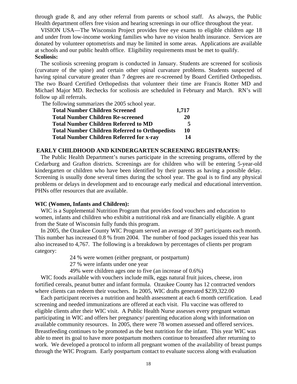through grade 8, and any other referral from parents or school staff. As always, the Public Health department offers free vision and hearing screenings in our office throughout the year.

 VISION USA—The Wisconsin Project provides free eye exams to eligible children age 18 and under from low-income working families who have no vision health insurance. Services are donated by volunteer optometrists and may be limited in some areas. Applications are available at schools and our public health office. Eligibility requirements must be met to qualify. **Scoliosis:** 

 The scoliosis screening program is conducted in January. Students are screened for scoliosis (curvature of the spine) and certain other spinal curvature problems. Students suspected of having spinal curvature greater than 7 degrees are re-screened by Board Certified Orthopedists. The two Board Certified Orthopedists that volunteer their time are Francis Rotter MD and Michael Major MD. Rechecks for scoliosis are scheduled in February and March. RN's will follow up all referrals.

The following summarizes the 2005 school year.

| <b>Total Number Children Screened</b>                 | 1,717 |
|-------------------------------------------------------|-------|
| <b>Total Number Children Re-screened</b>              | 20    |
| <b>Total Number Children Referred to MD</b>           | 5     |
| <b>Total Number Children Referred to Orthopedists</b> | 10    |
| <b>Total Number Children Referred for x-ray</b>       | 14    |

#### **EARLY CHILDHOOD AND KINDERGARTEN SCREENING REGISTRANTS:**

 The Public Health Department's nurses participate in the screening programs, offered by the Cedarburg and Grafton districts. Screenings are for children who will be entering 5-year-old kindergarten or children who have been identified by their parents as having a possible delay. Screening is usually done several times during the school year. The goal is to find any physical problems or delays in development and to encourage early medical and educational intervention. PHNs offer resources that are available.

#### **WIC (Women, Infants and Children):**

 WIC is a Supplemental Nutrition Program that provides food vouchers and education to women, infants and children who exhibit a nutritional risk and are financially eligible. A grant from the State of Wisconsin fully funds this program.

 In 2005, the Ozaukee County WIC Program served an average of 397 participants each month. This number has increased 0.8 % from 2004. The number of food packages issued this year has also increased to 4,767. The following is a breakdown by percentages of clients per program category:

24 % were women (either pregnant, or postpartum)

27 % were infants under one year

49% were children ages one to five (an increase of 0.6%)

WIC foods available with vouchers include milk, eggs natural fruit juices, cheese, iron fortified cereals, peanut butter and infant formula. Ozaukee County has 12 contracted vendors where clients can redeem their vouchers. In 2005, WIC drafts generated \$239,322.00

 Each participant receives a nutrition and health assessment at each 6 month certification. Lead screening and needed immunizations are offered at each visit. Flu vaccine was offered to eligible clients after their WIC visit. A Public Health Nurse assesses every pregnant woman participating in WIC and offers her pregnancy/ parenting education along with information on available community resources. In 2005, there were 78 women assessed and offered services. Breastfeeding continues to be promoted as the best nutrition for the infant. This year WIC was able to meet its goal to have more postpartum mothers continue to breastfeed after returning to work. We developed a protocol to inform all pregnant women of the availability of breast pumps through the WIC Program. Early postpartum contact to evaluate success along with evaluation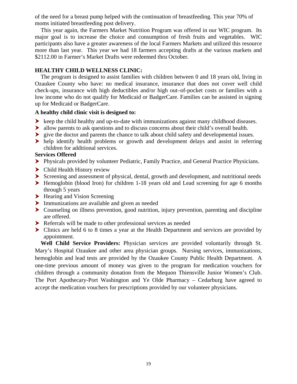of the need for a breast pump helped with the continuation of breastfeeding. This year 70% of moms initiated breastfeeding post delivery.

 This year again, the Farmers Market Nutrition Program was offered in our WIC program. Its major goal is to increase the choice and consumption of fresh fruits and vegetables. WIC participants also have a greater awareness of the local Farmers Markets and utilized this resource more than last year. This year we had 18 farmers accepting drafts at the various markets and \$2112.00 in Farmer's Market Drafts were redeemed thru October.

# **HEALTHY CHILD WELLNESS CLINIC:**

 The program is designed to assist families with children between 0 and 18 years old, living in Ozaukee County who have: no medical insurance, insurance that does not cover well child check-ups, insurance with high deductibles and/or high out–of-pocket costs or families with a low income who do not qualify for Medicaid or BadgerCare. Families can be assisted in signing up for Medicaid or BadgerCare.

## **A healthy child clinic visit is designed to:**

- $\blacktriangleright$  keep the child healthy and up-to-date with immunizations against many childhood diseases.
- $\blacktriangleright$  allow parents to ask questions and to discuss concerns about their child's overall health.
- $\triangleright$  give the doctor and parents the chance to talk about child safety and developmental issues.
- $\blacktriangleright$  help identify health problems or growth and development delays and assist in referring children for additional services.

### **Services Offered**

- h Physicals provided by volunteer Pediatric, Family Practice, and General Practice Physicians.
- $\blacktriangleright$  Child Health History review
- $\triangleright$  Screening and assessment of physical, dental, growth and development, and nutritional needs
- $\blacktriangleright$  Hemoglobin (blood Iron) for children 1-18 years old and Lead screening for age 6 months through 5 years
- $\blacktriangleright$  Hearing and Vision Screening
- $\blacktriangleright$  Immunizations are available and given as needed
- $\triangleright$  Counseling on illness prevention, good nutrition, injury prevention, parenting and discipline are offered.
- $\blacktriangleright$  Referrals will be made to other professional services as needed
- $\triangleright$  Clinics are held 6 to 8 times a year at the Health Department and services are provided by appointment.

 **Well Child Service Providers:** Physician services are provided voluntarily through St. Mary's Hospital Ozaukee and other area physician groups. Nursing services, immunizations, hemoglobin and lead tests are provided by the Ozaukee County Public Health Department. A one-time previous amount of money was given to the program for medication vouchers for children through a community donation from the Mequon Thiensville Junior Women's Club. The Port Apothecary-Port Washington and Ye Olde Pharmacy – Cedarburg have agreed to accept the medication vouchers for prescriptions provided by our volunteer physicians.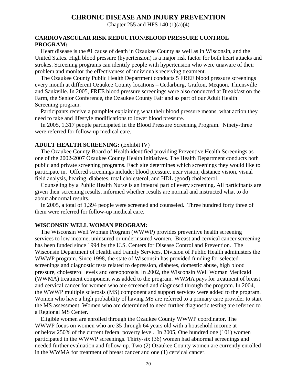# **CHRONIC DISEASE AND INJURY PREVENTION**

Chapter 255 and HFS 140 (1)(a)(4)

## **CARDIOVASCULAR RISK REDUCTION/BLOOD PRESSURE CONTROL PROGRAM:**

Heart disease is the #1 cause of death in Ozaukee County as well as in Wisconsin, and the United States. High blood pressure (hypertension) is a major risk factor for both heart attacks and strokes. Screening programs can identify people with hypertension who were unaware of their problem and monitor the effectiveness of individuals receiving treatment.

 The Ozaukee County Public Health Department conducts 5 FREE blood pressure screenings every month at different Ozaukee County locations – Cedarburg, Grafton, Mequon, Thiensville and Saukville. In 2005, FREE blood pressure screenings were also conducted at Breakfast on the Farm, the Senior Conference, the Ozaukee County Fair and as part of our Adult Health Screening program.

 Participants receive a pamphlet explaining what their blood pressure means, what action they need to take and lifestyle modifications to lower blood pressure.

 In 2005, 1,317 people participated in the Blood Pressure Screening Program. Ninety-three were referred for follow-up medical care.

#### **ADULT HEALTH SCREENING:** (Exhibit IV)

 The Ozaukee County Board of Health identified providing Preventive Health Screenings as one of the 2002-2007 Ozaukee County Health Initiatives. The Health Department conducts both public and private screening programs. Each site determines which screenings they would like to participate in. Offered screenings include: blood pressure, near vision, distance vision, visual field analysis, hearing, diabetes, total cholesterol, and HDL (good) cholesterol.

 Counseling by a Public Health Nurse is an integral part of every screening. All participants are given their screening results, informed whether results are normal and instructed what to do about abnormal results.

 In 2005, a total of 1,394 people were screened and counseled. Three hundred forty three of them were referred for follow-up medical care.

### **WISCONSIN WELL WOMAN PROGRAM:**

 The Wisconsin Well Woman Program (WWWP) provides preventive health screening services to low income, uninsured or underinsured women. Breast and cervical cancer screening has been funded since 1994 by the U.S. Centers for Disease Control and Prevention. The Wisconsin Department of Health and Family Services, Division of Public Health administers the WWWP program. Since 1998, the state of Wisconsin has provided funding for selected screenings and diagnostic tests related to depression, diabetes, domestic abuse, high blood pressure, cholesterol levels and osteoporosis. In 2002, the Wisconsin Well Woman Medicaid (WWMA) treatment component was added to the program. WWMA pays for treatment of breast and cervical cancer for women who are screened and diagnosed through the program. In 2004, the WWWP multiple sclerosis (MS) component and support services were added to the program. Women who have a high probability of having MS are referred to a primary care provider to start the MS assessment. Women who are determined to need further diagnostic testing are referred to a Regional MS Center.

 Eligible women are enrolled through the Ozaukee County WWWP coordinator. The WWWP focus on women who are 35 through 64 years old with a household income at or below 250% of the current federal poverty level. In 2005, One hundred one (101) women participated in the WWWP screenings. Thirty-six (36) women had abnormal screenings and needed further evaluation and follow-up. Two (2) Ozaukee County women are currently enrolled in the WWMA for treatment of breast cancer and one (1) cervical cancer.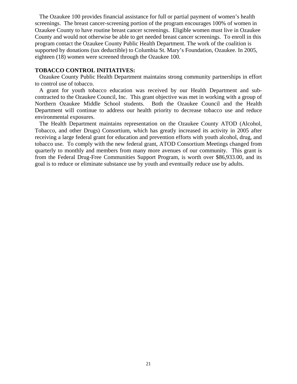The Ozaukee 100 provides financial assistance for full or partial payment of women's health screenings. The breast cancer-screening portion of the program encourages 100% of women in Ozaukee County to have routine breast cancer screenings. Eligible women must live in Ozaukee County and would not otherwise be able to get needed breast cancer screenings. To enroll in this program contact the Ozaukee County Public Health Department. The work of the coalition is supported by donations (tax deductible) to Columbia St. Mary's Foundation, Ozaukee. In 2005, eighteen (18) women were screened through the Ozaukee 100.

### **TOBACCO CONTROL INITIATIVES:**

 Ozaukee County Public Health Department maintains strong community partnerships in effort to control use of tobacco.

 A grant for youth tobacco education was received by our Health Department and subcontracted to the Ozaukee Council, Inc. This grant objective was met in working with a group of Northern Ozaukee Middle School students. Both the Ozaukee Council and the Health Department will continue to address our health priority to decrease tobacco use and reduce environmental exposures.

 The Health Department maintains representation on the Ozaukee County ATOD (Alcohol, Tobacco, and other Drugs) Consortium, which has greatly increased its activity in 2005 after receiving a large federal grant for education and prevention efforts with youth alcohol, drug, and tobacco use. To comply with the new federal grant, ATOD Consortium Meetings changed from quarterly to monthly and members from many more avenues of our community. This grant is from the Federal Drug-Free Communities Support Program, is worth over \$86,933.00, and its goal is to reduce or eliminate substance use by youth and eventually reduce use by adults.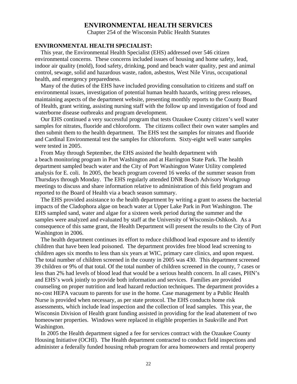# **ENVIRONMENTAL HEALTH SERVICES**

Chapter 254 of the Wisconsin Public Health Statutes

#### **ENVIRONMENTAL HEALTH SPECIALIST:**

 This year, the Environmental Health Specialist (EHS) addressed over 546 citizen environmental concerns. These concerns included issues of housing and home safety, lead, indoor air quality (mold), food safety, drinking, pond and beach water quality, pest and animal control, sewage, solid and hazardous waste, radon, asbestos, West Nile Virus, occupational health, and emergency preparedness.

 Many of the duties of the EHS have included providing consultation to citizens and staff on environmental issues, investigation of potential human health hazards, writing press releases, maintaining aspects of the department website, presenting monthly reports to the County Board of Health, grant writing, assisting nursing staff with the follow up and investigation of food and waterborne disease outbreaks and program development.

 Our EHS continued a very successful program that tests Ozaukee County citizen's well water samples for nitrates, fluoride and chloroform. The citizens collect their own water samples and then submit them to the health department. The EHS test the samples for nitrates and fluoride and Cardinal Environmental test the samples for chloroform. Sixty-eight well water samples were tested in 2005.

 From May through September, the EHS assisted the health department with a beach monitoring program in Port Washington and at Harrington State Park. The health department sampled beach water and the City of Port Washington Water Utility completed analysis for E. coli. In 2005, the beach program covered 16 weeks of the summer season from Thursdays through Monday. The EHS regularly attended DNR Beach Advisory Workgroup meetings to discuss and share information relative to administration of this field program and reported to the Board of Health via a beach season summary.

 The EHS provided assistance to the health department by writing a grant to assess the bacterial impacts of the Cladophora algae on beach water at Upper Lake Park in Port Washington. The EHS sampled sand, water and algae for a sixteen week period during the summer and the samples were analyzed and evaluated by staff at the University of Wisconsin-Oshkosh. As a consequence of this same grant, the Health Department will present the results to the City of Port Washington in 2006.

 The health department continues its effort to reduce childhood lead exposure and to identify children that have been lead poisoned. The department provides free blood lead screening to children ages six months to less than six years at WIC, primary care clinics, and upon request. The total number of children screened in the county in 2005 was 430. This department screened 39 children or 9% of that total. Of the total number of children screened in the county, 7 cases or less than 2% had levels of blood lead that would be a serious health concern. In all cases, PHN's and EHS's work jointly to provide both information and services. Families are provided counseling on proper nutrition and lead hazard reduction techniques. The department provides a no-cost HEPA vacuum to parents for use in the home. Case management by a Public Health Nurse is provided when necessary, as per state protocol. The EHS conducts home risk assessments, which include lead inspection and the collection of lead samples. This year, the Wisconsin Division of Health grant funding assisted in providing for the lead abatement of two homeowner properties. Windows were replaced in eligible properties in Saukville and Port Washington.

 In 2005 the Health department signed a fee for services contract with the Ozaukee County Housing Initiative (OCHI). The Health department contracted to conduct field inspections and administer a federally funded housing rehab program for area homeowners and rental property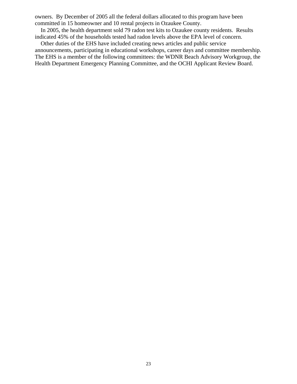owners. By December of 2005 all the federal dollars allocated to this program have been committed in 15 homeowner and 10 rental projects in Ozaukee County.

 In 2005, the health department sold 79 radon test kits to Ozaukee county residents. Results indicated 45% of the households tested had radon levels above the EPA level of concern.

 Other duties of the EHS have included creating news articles and public service announcements, participating in educational workshops, career days and committee membership. The EHS is a member of the following committees: the WDNR Beach Advisory Workgroup, the Health Department Emergency Planning Committee, and the OCHI Applicant Review Board.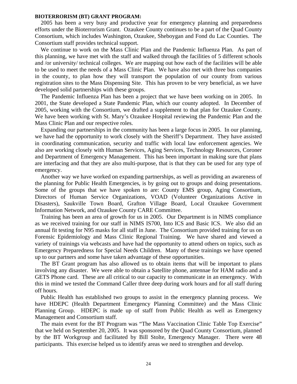#### **BIOTERRORISM (BT) GRANT PROGRAM:**

 2005 has been a very busy and productive year for emergency planning and preparedness efforts under the Bioterrorism Grant. Ozaukee County continues to be a part of the Quad County Consortium, which includes Washington, Ozaukee, Sheboygan and Fond du Lac Counties. The Consortium staff provides technical support.

 We continue to work on the Mass Clinic Plan and the Pandemic Influenza Plan. As part of this planning, we have met with the staff and walked through the facilities of 5 different schools and /or university/ technical colleges. We are mapping out how each of the facilities will be able to be used to meet the needs of a Mass Clinic Plan. We have also met with three bus companies in the county, to plan how they will transport the population of our county from various registration sites to the Mass Dispensing Site. This has proven to be very beneficial, as we have developed solid partnerships with these groups.

 The Pandemic Influenza Plan has been a project that we have been working on in 2005. In 2001, the State developed a State Pandemic Plan, which our county adopted. In December of 2005, working with the Consortium, we drafted a supplement to that plan for Ozaukee County. We have been working with St. Mary's Ozaukee Hospital reviewing the Pandemic Plan and the Mass Clinic Plan and our respective roles.

 Expanding our partnerships in the community has been a large focus in 2005. In our planning, we have had the opportunity to work closely with the Sheriff's Department. They have assisted in coordinating communication, security and traffic with local law enforcement agencies. We also are working closely with Human Services, Aging Services, Technology Resources, Coroner and Department of Emergency Management. This has been important in making sure that plans are interfacing and that they are also multi-purpose, that is that they can be used for any type of emergency.

 Another way we have worked on expanding partnerships, as well as providing an awareness of the planning for Public Health Emergencies, is by going out to groups and doing presentations. Some of the groups that we have spoken to are: County EMS group, Aging Consortium, Directors of Human Service Organizations, VOAD (Volunteer Organizations Active in Disasters), Saukville Town Board, Grafton Village Board, Local Ozaukee Government Information Network, and Ozaukee County CARE Committee.

 Training has been an area of growth for us in 2005. Our Department is in NIMS compliance as we received training for our staff in NIMS IS700, Into ICS and Basic ICS. We also did an annual fit testing for N95 masks for all staff in June. The Consortium provided training for us on Forensic Epidemiology and Mass Clinic Regional Training. We have shared and viewed a variety of trainings via webcasts and have had the opportunity to attend others on topics, such as Emergency Preparedness for Special Needs Children. Many of these trainings we have opened up to our partners and some have taken advantage of these opportunities.

 The BT Grant program has also allowed us to obtain items that will be important to plans involving any disaster. We were able to obtain a Satellite phone, antennae for HAM radio and a GETS Phone card. These are all critical to our capacity to communicate in an emergency. With this in mind we tested the Command Caller three deep during work hours and for all staff during off hours.

 Public Health has established two groups to assist in the emergency planning process. We have HDEPC (Health Department Emergency Planning Committee) and the Mass Clinic Planning Group. HDEPC is made up of staff from Public Health as well as Emergency Management and Consortium staff.

 The main event for the BT Program was "The Mass Vaccination Clinic Table Top Exercise" that we held on September 20, 2005. It was sponsored by the Quad County Consortium, planned by the BT Workgroup and facilitated by Bill Stolte, Emergency Manager. There were 48 participants. This exercise helped us to identify areas we need to strengthen and develop.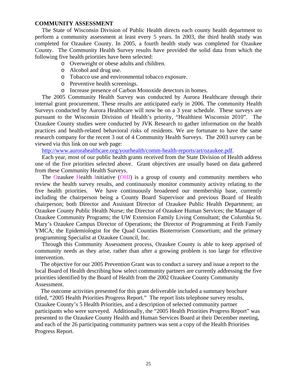#### **COMMUNITY ASSESSMENT**

The State of Wisconsin Division of Public Health directs each county health department to perform a community assessment at least every 5 years. In 2003, the third health study was completed for Ozaukee County. In 2005, a fourth health study was completed for Ozaukee County. The Community Health Survey results have provided the solid data from which the following five health priorities have been selected:

- o Overweight or obese adults and children.
- o Alcohol and drug use.
- o Tobacco use and environmental tobacco exposure.
- o Preventive health screenings.
- o Increase presence of Carbon Monoxide detectors in homes.

The 2005 Community Health Survey was conducted by Aurora Healthcare through their internal grant procurement. These results are anticipated early in 2006. The community Health Surveys conducted by Aurora Healthcare will now be on a 3 year schedule. These surveys are pursuant to the Wisconsin Division of Health's priority, "Healthiest Wisconsin 2010". The Ozaukee County studies were conducted by JVK Research to gather information on the health practices and health-related behavioral risks of residents. We are fortunate to have the same research company for the recent 3 out of 4 Community Health Surveys. The 2003 survey can be viewed via this link on our web page:

http://www.aurorahealthcare.org/yourhealth/comm-health-reports/art/ozaukee.pdf.

Each year, most of our public health grants received from the State Division of Health address one of the five priorities selected above. Grant objectives are usually based on data gathered from these Community Health Surveys.

The Ozaukee Health Initiative (OHI) is a group of county and community members who review the health survey results, and continuously monitor community activity relating to the five health priorities. We have continuously broadened our membership base, currently including the chairperson being a County Board Supervisor and previous Board of Health chairperson; both Director and Assistant Director of Ozaukee Public Health Department; an Ozaukee County Public Health Nurse; the Director of Ozaukee Human Services; the Manager of Ozaukee Community Programs; the UW Extension Family Living Consultant; the Columbia St. Mary's Ozaukee Campus Director of Operations; the Director of Programming at Feith Family YMCA; the Epidemiologist for the Quad Counties Bioterrorism Consortium; and the primary programming Specialist at Ozaukee Council, Inc.

Through this Community Assessment process, Ozaukee County is able to keep apprised of community needs as they arise, rather than after a growing problem is too large for effective intervention.

 The objective for our 2005 Prevention Grant was to conduct a survey and issue a report to the local Board of Health describing how select community partners are currently addressing the five priorities identified by the Board of Health from the 2002 Ozaukee County Community Assessment.

 The outcome activities presented for this grant deliverable included a summary brochure titled, "2005 Health Priorities Progress Report." The report lists telephone survey results, Ozaukee County's 5 Health Priorities, and a description of selected community partner participants who were surveyed. Additionally, the "2005 Health Priorities Progress Report" was presented to the Ozaukee County Health and Human Services Board at their December meeting, and each of the 26 participating community partners was sent a copy of the Health Priorities Progress Report.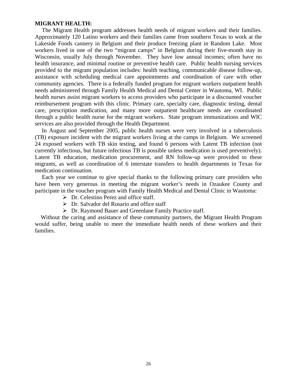#### **MIGRANT HEALTH:**

The Migrant Health program addresses health needs of migrant workers and their families. Approximately 120 Latino workers and their families came from southern Texas to work at the Lakeside Foods cannery in Belgium and their produce freezing plant in Random Lake. Most workers lived in one of the two "migrant camps" in Belgium during their five-month stay in Wisconsin, usually July through November. They have low annual incomes; often have no health insurance, and minimal routine or preventive health care. Public health nursing services provided to the migrant population includes: health teaching, communicable disease follow-up, assistance with scheduling medical care appointments and coordination of care with other community agencies. There is a federally funded program for migrant workers outpatient health needs administered through Family Health Medical and Dental Center in Wautoma, WI. Public health nurses assist migrant workers to access providers who participate in a discounted voucher reimbursement program with this clinic. Primary care, specialty care, diagnostic testing, dental care, prescription medication, and many more outpatient healthcare needs are coordinated through a public health nurse for the migrant workers. State program immunizations and WIC services are also provided through the Health Department.

In August and September 2005, public health nurses were very involved in a tuberculosis (TB) exposure incident with the migrant workers living at the camps in Belgium. We screened 24 exposed workers with TB skin testing, and found 6 persons with Latent TB infection (not currently infectious, but future infectious TB is possible unless medication is used preventively). Latent TB education, medication procurement, and RN follow-up were provided to these migrants, as well as coordination of 6 interstate transfers to health departments in Texas for medication continuation.

Each year we continue to give special thanks to the following primary care providers who have been very generous in meeting the migrant worker's needs in Ozaukee County and participate in the voucher program with Family Health Medical and Dental Clinic in Wautoma:

- $\triangleright$  Dr. Celestino Perez and office staff.
- $\triangleright$  Dr. Salvador del Rosario and office staff
- $\triangleright$  Dr. Raymond Bauer and Greenlane Family Practice staff.

 Without the caring and assistance of these community partners, the Migrant Health Program would suffer, being unable to meet the immediate health needs of these workers and their families.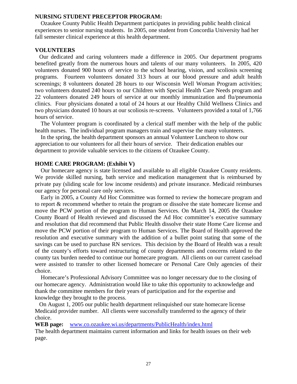#### **NURSING STUDENT PRECEPTOR PROGRAM:**

 Ozaukee County Public Health Department participates in providing public health clinical experiences to senior nursing students. In 2005, one student from Concordia University had her fall semester clinical experience at this health department.

#### **VOLUNTEERS**

 Our dedicated and caring volunteers made a difference in 2005. Our department programs benefited greatly from the numerous hours and talents of our many volunteers. In 2005, 420 volunteers donated 900 hours of service to the school hearing, vision, and scoliosis screening programs. Fourteen volunteers donated 313 hours at our blood pressure and adult health screenings; 8 volunteers donated 28 hours to our Wisconsin Well Woman Program activities; two volunteers donated 240 hours to our Children with Special Health Care Needs program and 22 volunteers donated 249 hours of service at our monthly immunization and flu/pneumonia clinics. Four physicians donated a total of 24 hours at our Healthy Child Wellness Clinics and two physicians donated 10 hours at our scoliosis re-screens. Volunteers provided a total of 1,766 hours of service.

 The Volunteer program is coordinated by a clerical staff member with the help of the public health nurses. The individual program managers train and supervise the many volunteers.

 In the spring, the health department sponsors an annual Volunteer Luncheon to show our appreciation to our volunteers for all their hours of service. Their dedication enables our department to provide valuable services to the citizens of Ozaukee County.

### **HOME CARE PROGRAM: (Exhibit V)**

 Our homecare agency is state licensed and available to all eligible Ozaukee County residents. We provide skilled nursing, bath service and medication management that is reimbursed by private pay (sliding scale for low income residents) and private insurance. Medicaid reimburses our agency for personal care only services.

 Early in 2005, a County Ad Hoc Committee was formed to review the homecare program and to report & recommend whether to retain the program or dissolve the state homecare license and move the PCW portion of the program to Human Services. On March 14, 2005 the Ozaukee County Board of Health reviewed and discussed the Ad Hoc committee's executive summary and resolution that did recommend that Public Health dissolve their state Home Care license and move the PCW portion of their program to Human Services. The Board of Health approved the resolution and executive summary with the addition of a bullet point stating that some of the savings can be used to purchase RN services.This decision by the Board of Health was a result of the county's efforts toward restructuring of county departments and concerns related to the county tax burden needed to continue our homecare program. All clients on our current caseload were assisted to transfer to other licensed homecare or Personal Care Only agencies of their choice.

 Homecare's Professional Advisory Committee was no longer necessary due to the closing of our homecare agency. Administration would like to take this opportunity to acknowledge and thank the committee members for their years of participation and for the expertise and knowledge they brought to the process.

 On August 1, 2005 our public health department relinquished our state homecare license Medicaid provider number. All clients were successfully transferred to the agency of their choice.

**WEB page:** www.co.ozaukee.wi.us/departments/PublicHealth/index.html

The health department maintains current information and links for health issues on their web page.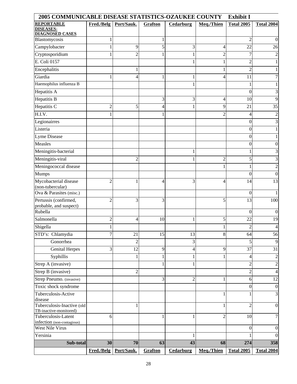| 2005 COMMUNICABLE DISEASE STATISTICS-OZAUKEE COUNTY<br><b>Exhibit I</b> |                |                |         |                |                          |                   |                   |
|-------------------------------------------------------------------------|----------------|----------------|---------|----------------|--------------------------|-------------------|-------------------|
| <b>REPORTABLE</b>                                                       | Fred./Belg     | Port/Sauk.     | Grafton | Cedarburg      | Meq./Thien               | <b>Total 2005</b> | <b>Total 2004</b> |
| <b>DISEASES-</b><br><b>DIAGNOSED CASES</b>                              |                |                |         |                |                          |                   |                   |
| Blastomycosis                                                           | $\mathbf{1}$   |                |         |                |                          | $\overline{2}$    | $\theta$          |
| Campylobacter                                                           | $\mathbf{1}$   | 9              | 5       | 3              | 4                        | 22                | 26                |
| Cryptosporidium                                                         | 1              | 2              |         | 1              | $\overline{c}$           | 7                 |                   |
| E. Coli 0157                                                            |                |                |         | 1              | 1                        | $\overline{c}$    |                   |
| Encephalitis                                                            |                |                |         |                |                          | $\overline{2}$    |                   |
| Giardia                                                                 | 1              | 4              |         | 1              | 4                        | 11                |                   |
| Haemophilus influenza B                                                 |                |                |         | 1              |                          | 1                 |                   |
| Hepatitis A                                                             |                |                |         |                |                          | $\overline{0}$    | 3                 |
| Hepatitis B                                                             |                |                | 3       | 3              | $\overline{\mathcal{L}}$ | 10                | 9                 |
| Hepatitis C                                                             | $\overline{c}$ | 5              | 4       | 1              | 9                        | 21                | 35                |
| H.I.V.                                                                  | 1              |                |         |                | $\overline{c}$           | 4                 | 2                 |
| Legionairres                                                            |                |                |         |                |                          | $\boldsymbol{0}$  | 3                 |
| Listeria                                                                |                |                |         |                |                          | $\boldsymbol{0}$  |                   |
| Lyme Disease                                                            |                |                |         |                |                          | $\boldsymbol{0}$  |                   |
| Measles                                                                 |                |                |         |                |                          | $\overline{0}$    | 0                 |
| Meningitis-bacterial                                                    |                |                |         | 1              |                          | 1                 |                   |
|                                                                         |                | $\overline{2}$ |         |                | $\overline{c}$           | 5                 |                   |
| Meningitis-viral                                                        |                |                |         | 1              |                          |                   | 3                 |
| Meningococcal disease                                                   |                |                |         |                | 1                        | 1                 |                   |
| <b>Mumps</b>                                                            |                |                |         |                |                          | $\theta$          | $\theta$          |
| Mycobacterial disease<br>(non-tubercular)                               | $\overline{c}$ | 1              | 4       | 3              | 4                        | 14                | 13                |
| Ova & Parasites (misc.)                                                 |                |                |         |                |                          | $\theta$          |                   |
| Pertussis (confirmed,                                                   | $\overline{2}$ | 3              | 3       |                | 5                        | 13                | 100               |
| probable, and suspect)                                                  |                |                |         |                |                          |                   |                   |
| Rubella                                                                 |                |                |         |                |                          | $\theta$          | $\theta$          |
| Salmonella                                                              | $\overline{c}$ | 4              | 10      | 1              | 5                        | 22                | 19                |
| Shigella                                                                | 1              |                |         |                | 1                        | $\overline{c}$    | 4                 |
| STD's: Chlamydia                                                        | $\overline{7}$ | 21             | 15      | 13             | 8                        | 64                | 56                |
| Gonorrhea                                                               |                | 2              |         | 3              |                          | 5                 | 9                 |
| <b>Genital Herpes</b>                                                   | 3              | 12             | 9       | 4              | 9                        | $\overline{37}$   | $\overline{31}$   |
| Syphillis                                                               |                | $\mathbf{1}$   |         | 1              |                          | $\overline{4}$    | 2                 |
| Strep A (invasive)                                                      |                |                |         | 1              |                          | $\overline{c}$    | $\overline{c}$    |
| Strep B (invasive)                                                      |                | $\overline{c}$ |         |                |                          | $\overline{c}$    | 4                 |
| Strep Pneumo. (invasive)                                                |                |                | 3       | $\overline{c}$ | 1                        | 6                 | 12                |
| Toxic shock syndrome                                                    |                |                |         |                |                          | $\boldsymbol{0}$  | $\theta$          |
| Tuberculosis-Active                                                     |                |                |         |                |                          | 1                 | 3                 |
| disease                                                                 |                |                |         |                |                          |                   |                   |
| Tuberculosis-Inactive (old<br>TB-inactive-monitored)                    |                | 1              |         |                |                          | $\overline{2}$    | $\mathbf{0}$      |
| Tuberculosis-Latent                                                     | 6              |                |         | 1              | $\overline{2}$           | 10                |                   |
| infection (non-contagious)                                              |                |                |         |                |                          |                   |                   |
| West Nile Virus                                                         |                |                |         |                |                          | $\overline{0}$    | $\theta$          |
| Yersinia                                                                |                |                |         | 1              |                          |                   |                   |
| Sub-total                                                               | 30             | 70             | 63      | 43             | 68                       | 274               | 358               |
|                                                                         | Fred./Belg     | Port/Sauk.     | Grafton | Cedarburg      | Meq./Thien               | <b>Total 2005</b> | <b>Total 2004</b> |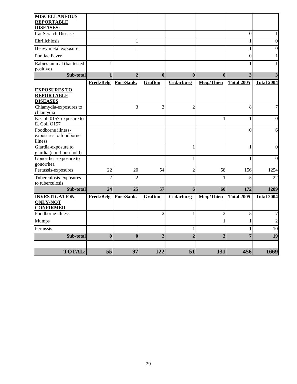| <b>MISCELLANEOUS</b>                                        |                |                |                |                |                |                         |                   |
|-------------------------------------------------------------|----------------|----------------|----------------|----------------|----------------|-------------------------|-------------------|
| <b>REPORTABLE</b><br><b>DISEASES:</b>                       |                |                |                |                |                |                         |                   |
| <b>Cat Scratch Disease</b>                                  |                |                |                |                |                | $\mathbf{0}$            | 1                 |
| Ehrilichiosis                                               |                | $\mathbf{1}$   |                |                |                | $\mathbf{1}$            | $\Omega$          |
| Heavy metal exposure                                        |                | 1              |                |                |                | $\mathbf{1}$            | $\Omega$          |
| Pontiac Fever                                               |                |                |                |                |                | $\boldsymbol{0}$        | 1                 |
| Rabies-animal (bat tested<br>positive)                      | $\mathbf{1}$   |                |                |                |                | 1                       |                   |
| Sub-total                                                   | $\mathbf{1}$   | $\overline{2}$ | $\bf{0}$       | $\bf{0}$       | $\bf{0}$       | $\overline{\mathbf{3}}$ | 3                 |
|                                                             | Fred./Belg     | Port/Sauk.     | <b>Grafton</b> | Cedarburg      | Meq./Thien     | <b>Total 2005</b>       | <b>Total 2004</b> |
| <b>EXPOSURES TO</b><br><b>REPORTABLE</b><br><b>DISEASES</b> |                |                |                |                |                |                         |                   |
| Chlamydia-exposures to<br>chlamydia                         |                | 3              | 3              | $\overline{2}$ |                | 8                       | 7                 |
| E. Coli 0157-exposure to<br>E. Coli O157                    |                |                |                |                | 1              | 1                       | $\theta$          |
| Foodborne illness-<br>exposures to foodborne<br>illness     |                |                |                |                |                | $\theta$                | 6                 |
| Giardia-exposure to<br>giardia (non-household)              |                |                |                | $\mathbf{1}$   |                | $\mathbf{1}$            | $\Omega$          |
| Gonorrhea-exposure to<br>gonorrhea                          |                |                |                | 1              |                | 1                       | $\Omega$          |
| Pertussis-exposures                                         | 22             | 20             | 54             | $\overline{2}$ | 58             | 156                     | 1254              |
| Tuberculosis-exposures<br>to tuberculosis                   | $\overline{2}$ | 2              |                |                |                | 5                       | 22                |
| Sub-total                                                   | 24             | 25             | 57             | 6              | 60             | 172                     | 1289              |
| <b>INVESTIGATION</b><br><b>ONLY-NOT</b><br><b>CONFIRMED</b> | Fred./Belg     | Port/Sauk.     | <b>Grafton</b> | Cedarburg      | Meq./Thien     | <b>Total 2005</b>       | <b>Total 2004</b> |
| Foodborne illness                                           |                |                | $\overline{2}$ | $\mathbf{1}$   | $\overline{c}$ | 5                       | 7                 |
| Mumps                                                       |                |                |                |                | $\mathbf{1}$   | $\mathbf{1}$            | $\overline{2}$    |
| Pertussis                                                   |                |                |                | 1              |                | 1                       | 10                |
| Sub-total                                                   | $\mathbf{0}$   | $\bf{0}$       | $\overline{2}$ | $\overline{2}$ | 3              | 7                       | 19                |
| <b>TOTAL:</b>                                               | 55             | 97             | 122            | 51             | 131            | 456                     | 1669              |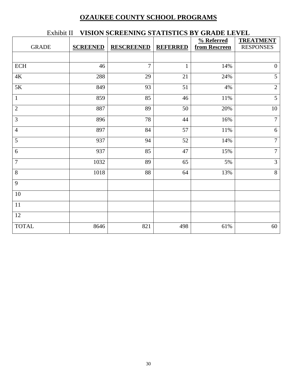# **OZAUKEE COUNTY SCHOOL PROGRAMS**

| ЕАШЛИ Н<br>VERION SCREENING STATISTICS DT GRADE LE VEL |                 |                   |                 |               |                  |  |  |  |
|--------------------------------------------------------|-----------------|-------------------|-----------------|---------------|------------------|--|--|--|
|                                                        |                 |                   |                 | % Referred    | <b>TREATMENT</b> |  |  |  |
| <b>GRADE</b>                                           | <b>SCREENED</b> | <b>RESCREENED</b> | <b>REFERRED</b> | from Rescreen | <b>RESPONSES</b> |  |  |  |
|                                                        |                 |                   |                 |               |                  |  |  |  |
| ECH                                                    | 46              | $\overline{7}$    | $\mathbf{1}$    | 14%           | $\mathbf{0}$     |  |  |  |
| $4\mathrm{K}$                                          | 288             | 29                | 21              | 24%           | $\overline{5}$   |  |  |  |
| 5K                                                     | 849             | 93                | 51              | 4%            | $\sqrt{2}$       |  |  |  |
| $\mathbf{1}$                                           | 859             | 85                | 46              | 11%           | $\overline{5}$   |  |  |  |
| $\mathbf{2}$                                           | 887             | 89                | 50              | 20%           | $10\,$           |  |  |  |
| 3                                                      | 896             | 78                | 44              | 16%           | $\overline{7}$   |  |  |  |
| $\overline{4}$                                         | 897             | 84                | 57              | 11%           | $6\,$            |  |  |  |
| 5                                                      | 937             | 94                | 52              | 14%           | $\overline{7}$   |  |  |  |
| 6                                                      | 937             | 85                | 47              | 15%           | $\overline{7}$   |  |  |  |
| $\overline{7}$                                         | 1032            | 89                | 65              | 5%            | $\overline{3}$   |  |  |  |
| 8                                                      | 1018            | 88                | 64              | 13%           | $8\,$            |  |  |  |
| 9                                                      |                 |                   |                 |               |                  |  |  |  |
| 10                                                     |                 |                   |                 |               |                  |  |  |  |
| 11                                                     |                 |                   |                 |               |                  |  |  |  |
| 12                                                     |                 |                   |                 |               |                  |  |  |  |
| <b>TOTAL</b>                                           | 8646            | 821               | 498             | 61%           | 60               |  |  |  |

# Exhibit II **VISION SCREENING STATISTICS BY GRADE LEVEL**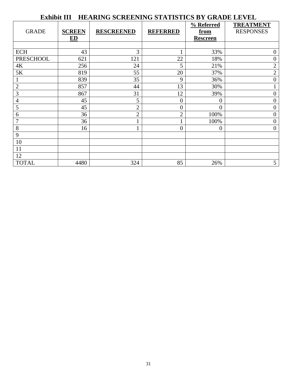#### **Exhibit III HEARING SCREENING STATISTICS BY GRADE LEVEL** GRADE **SCREEN ED RESCREENED REFERRED % Referred from Rescreen TREATMENT** RESPONSES ECH  $43$   $3$   $1$   $33\%$  0 PRESCHOOL 621 121 22 18% 0<br>4K 256 24 5 21% 2 4K 256 24 5 21% 21% 2 5K 819 55 20 37% 20 1 839 35 9 36% 0 2 857  $\begin{array}{|c|c|c|c|c|c|c|c|c|} \hline 30\% & & 1 \ \hline \end{array}$ 3 867  $\begin{array}{|c|c|c|c|c|c|c|c|c|} \hline \end{array}$  31 12 39% 0 4  $45$  |  $5$  |  $0$  |  $0$  |  $0$  $\begin{array}{ccc} 5 & 45 & 2 & 0 & 0 \end{array}$  0 6  $36$   $2$   $2$   $100\%$  0  $7$  1 36 1 1 100% 0 8 16  $1 \t 1$  0 0 0 9 10 11 12 TOTAL  $4480$  324 85 26% 5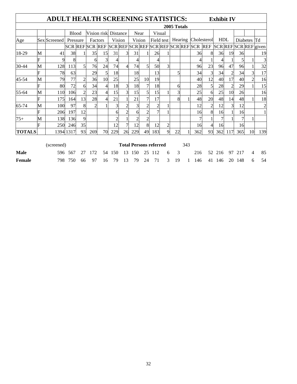| ADULT HEALTH SCREENING STATISTICS:<br><b>Exhibit IV</b> |   |              |              |                     |                |                      |     |                |                               |      |                |   |             |     |                                                         |                |            |                |                |                |                       |
|---------------------------------------------------------|---|--------------|--------------|---------------------|----------------|----------------------|-----|----------------|-------------------------------|------|----------------|---|-------------|-----|---------------------------------------------------------|----------------|------------|----------------|----------------|----------------|-----------------------|
|                                                         |   |              |              |                     |                |                      |     |                |                               |      |                |   | 2005 Totals |     |                                                         |                |            |                |                |                |                       |
|                                                         |   |              | <b>Blood</b> |                     |                | Vision risk Distance |     |                |                               | Near | Visual         |   |             |     |                                                         |                |            |                |                |                |                       |
| Age                                                     |   | Sex Screened |              | Factors<br>Pressure |                | Vision               |     | Vision         |                               |      | Field test     |   |             |     | Hearing Cholesterol                                     |                | <b>HDL</b> |                | Td<br>Diabetes |                |                       |
|                                                         |   |              |              |                     |                |                      |     |                |                               |      |                |   |             |     | SCR REF SCR REF SCR REF SCR REF SCR REF SCR REF SCR REF |                |            |                |                |                | SCR REF SCR REF given |
| 18-29                                                   | M | 41           | 38           |                     | 35             | 15                   | 31  | $\overline{3}$ | 31                            |      | 26             |   |             |     | 36                                                      | 8              | 36         | 19             | 36             |                | 19                    |
|                                                         | F | 9            | 8            |                     | 6              | 3                    | 4   |                |                               |      |                |   |             |     |                                                         |                |            |                | 51             |                | 3                     |
| 30-44                                                   | M | 128          | 113          | $\mathfrak{S}$      | 76             | 24                   | 74  | 4              | 74                            |      | 50             | 3 |             |     | 96                                                      | 23             | 96         | 47             | 96             |                | 32                    |
|                                                         | F | 78           | 63           |                     | 29             | 5                    | 18  |                | 18                            |      | 13             |   | 5           |     | 34                                                      | $\overline{3}$ | 34         | $\overline{2}$ | 34             | $\overline{3}$ | 17                    |
| 45-54                                                   | M | 79           | 77           | $\overline{c}$      | 36             | 10                   | 25  |                | 25                            | 10   | 19             |   |             |     | 40                                                      | 12             | 40         | 17             | 40             | $\overline{2}$ | 16                    |
|                                                         | F | 80           | 72           | 6                   | 34             | $\overline{4}$       | 18  | 3              | 18                            |      | 18             |   | 6           |     | 28                                                      | 5              | 28         | $\overline{2}$ | 29             |                | 15                    |
| 55-64                                                   | M | 110          | 106          | $\overline{c}$      | 23             | $\overline{4}$       | 15  | 3              | 15                            |      | 15             |   | 3           |     | 25                                                      | 6              | 25         | 10             | 26             |                | 16                    |
|                                                         | F | 175          | 164          | 13                  | 28             | $\overline{4}$       | 21  |                | 21                            |      | 17             |   | 8           |     | 48                                                      | 20             | 48         | 14             | 48             |                | 18                    |
| 65-74                                                   | М | 100          | 97           | 8                   | $\mathfrak{D}$ |                      | 3   | 2              |                               |      | $\overline{c}$ |   |             |     | 12                                                      | $\overline{2}$ | 12         | 3              | 12             |                | $\overline{c}$        |
|                                                         | F | 206          | 197          | 12                  |                |                      | 6   |                | 61                            |      |                |   |             |     | 16                                                      | 8              | 16         |                | 16             |                | $\mathbf{1}$          |
| $75+$                                                   | M | 138          | 136          | 9                   |                |                      | 2   |                |                               |      |                |   |             |     |                                                         |                |            |                | 7              |                |                       |
|                                                         | F | 250          | 246          | 35                  |                |                      | 12  | 7              | 12                            | 8    | 12             | 2 |             |     | 16                                                      | 4              | 16         |                | 16             |                |                       |
| <b>TOTALS</b>                                           |   |              | 1394 1317    | 93                  | 269            | 70                   | 229 | 26             | 229                           | 49   | 183            | 9 | 22          |     | 362                                                     | 93             | 362        | 117            | 365            | 10             | 139                   |
| (screened)                                              |   |              |              |                     |                |                      |     |                | <b>Total Persons referred</b> |      |                |   |             | 343 |                                                         |                |            |                |                |                |                       |

| Male          |  |  |  |  |  |  |  |  | 596 567 27 172 54 150 13 150 25 112 6 3 216 52 216 97 217 4 85 |  |
|---------------|--|--|--|--|--|--|--|--|----------------------------------------------------------------|--|
| <b>Female</b> |  |  |  |  |  |  |  |  | 798 750 66 97 16 79 13 79 24 71 3 19 1 146 41 146 20 148 6 54  |  |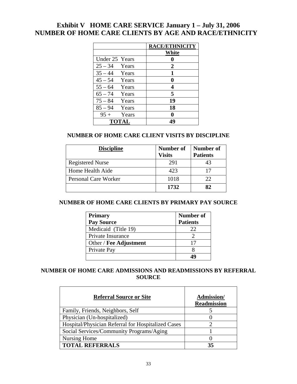# **Exhibit V HOME CARE SERVICE January 1 – July 31, 2006 NUMBER OF HOME CARE CLIENTS BY AGE AND RACE/ETHNICITY**

|                      | <b>RACE/ETHNICITY</b> |
|----------------------|-----------------------|
|                      | White                 |
| Under 25 Years       |                       |
| $25 - 34$ Years      | 2                     |
| $35 - 44$ Years      | 1                     |
| $45-54$ Years        | 0                     |
| $55 - 64$ Years      | 4                     |
| $65 - 74$ Years      | 5                     |
| $75 - 84$ Years      | 19                    |
| $85 - 94$ Years      | 18                    |
| $95 + \text{ Years}$ |                       |
| <b>TOTAL</b>         | 49                    |

# **NUMBER OF HOME CARE CLIENT VISITS BY DISCIPLINE**

| <b>Discipline</b>           | Number of<br><b>Visits</b> | Number of<br><b>Patients</b> |
|-----------------------------|----------------------------|------------------------------|
| <b>Registered Nurse</b>     | 291                        | 43                           |
| Home Health Aide            | 423                        | 17                           |
| <b>Personal Care Worker</b> | 1018                       | 22                           |
|                             | 1732                       | 82                           |

## **NUMBER OF HOME CARE CLIENTS BY PRIMARY PAY SOURCE**

| <b>Primary</b>         | Number of       |
|------------------------|-----------------|
| <b>Pay Source</b>      | <b>Patients</b> |
| Medicaid (Title 19)    | 22              |
| Private Insurance      |                 |
| Other / Fee Adjustment | 17              |
| Private Pay            |                 |
|                        |                 |

# **NUMBER OF HOME CARE ADMISSIONS AND READMISSIONS BY REFERRAL SOURCE**

| <b>Referral Source or Site</b>                     | Admission/<br><b>Readmission</b> |
|----------------------------------------------------|----------------------------------|
| Family, Friends, Neighbors, Self                   |                                  |
| Physician (Un-hospitalized)                        |                                  |
| Hospital/Physician Referral for Hospitalized Cases |                                  |
| Social Services/Community Programs/Aging           |                                  |
| Nursing Home                                       |                                  |
| <b>TOTAL REFERRALS</b>                             | 35                               |